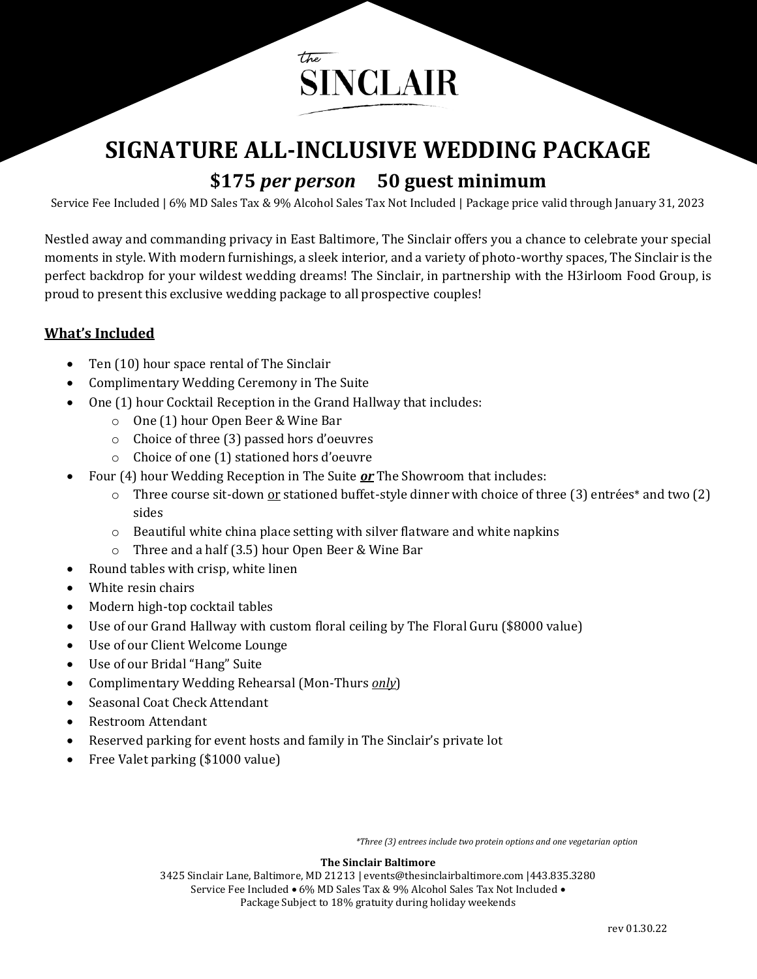

# **SIGNATURE ALL-INCLUSIVE WEDDING PACKAGE \$175** *per person* **50 guest minimum**

Service Fee Included | 6% MD Sales Tax & 9% Alcohol Sales Tax Not Included | Package price valid through January 31, 2023

Nestled away and commanding privacy in East Baltimore, The Sinclair offers you a chance to celebrate your special moments in style. With modern furnishings, a sleek interior, and a variety of photo-worthy spaces, The Sinclair is the perfect backdrop for your wildest wedding dreams! The Sinclair, in partnership with the H3irloom Food Group, is proud to present this exclusive wedding package to all prospective couples!

### **What's Included**

- Ten (10) hour space rental of The Sinclair
- Complimentary Wedding Ceremony in The Suite
- One (1) hour Cocktail Reception in the Grand Hallway that includes:
	- o One (1) hour Open Beer & Wine Bar
	- o Choice of three (3) passed hors d'oeuvres
	- o Choice of one (1) stationed hors d'oeuvre
- Four (4) hour Wedding Reception in The Suite *or* The Showroom that includes:
	- $\circ$  Three course sit-down <u>or</u> stationed buffet-style dinner with choice of three (3) entrées\* and two (2) sides
	- $\circ$  Beautiful white china place setting with silver flatware and white napkins
	- o Three and a half (3.5) hour Open Beer & Wine Bar
- Round tables with crisp, white linen
- White resin chairs
- Modern high-top cocktail tables
- Use of our Grand Hallway with custom floral ceiling by The Floral Guru (\$8000 value)
- Use of our Client Welcome Lounge
- Use of our Bridal "Hang" Suite
- Complimentary Wedding Rehearsal (Mon-Thurs *only*)
- Seasonal Coat Check Attendant
- Restroom Attendant
- Reserved parking for event hosts and family in The Sinclair's private lot
- Free Valet parking (\$1000 value)

*\*Three (3) entrees include two protein options and one vegetarian option*

#### **The Sinclair Baltimore**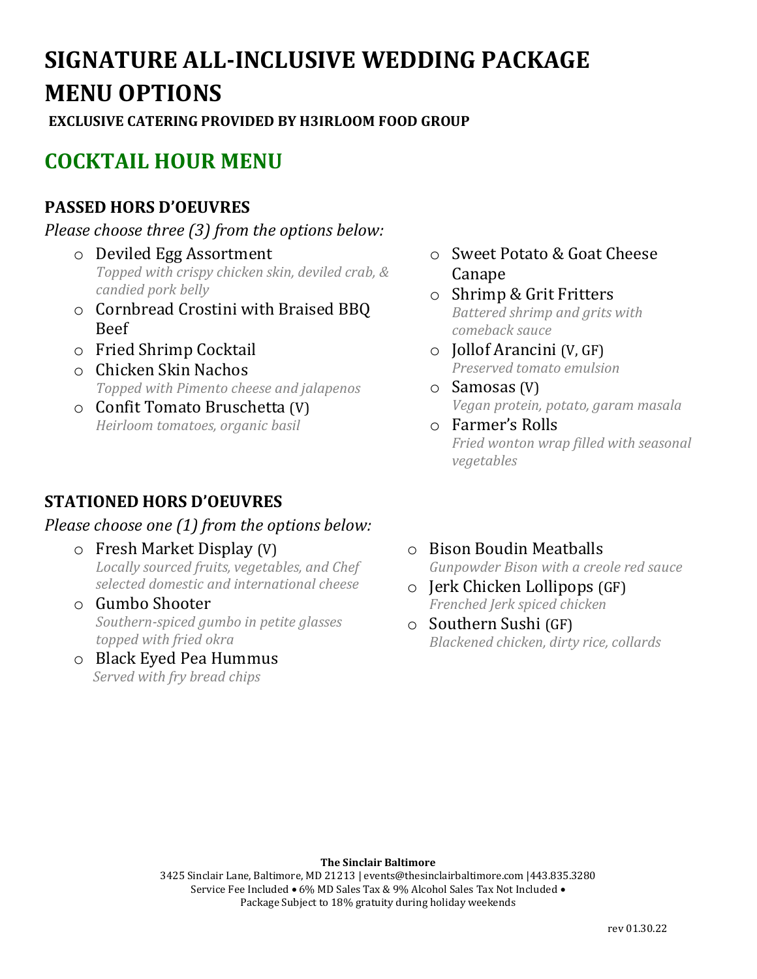# **SIGNATURE ALL-INCLUSIVE WEDDING PACKAGE MENU OPTIONS**

**EXCLUSIVE CATERING PROVIDED BY H3IRLOOM FOOD GROUP**

# **COCKTAIL HOUR MENU**

# **PASSED HORS D'OEUVRES**

*Please choose three (3) from the options below:*

- o Deviled Egg Assortment *Topped with crispy chicken skin, deviled crab, & candied pork belly*
- o Cornbread Crostini with Braised BBQ Beef
- o Fried Shrimp Cocktail
- o Chicken Skin Nachos *Topped with Pimento cheese and jalapenos*
- o Confit Tomato Bruschetta (V) *Heirloom tomatoes, organic basil*

# **STATIONED HORS D'OEUVRES**

## *Please choose one (1) from the options below:*

- o Fresh Market Display (V) *Locally sourced fruits, vegetables, and Chef selected domestic and international cheese*
- o Gumbo Shooter *Southern-spiced gumbo in petite glasses topped with fried okra*
- o Black Eyed Pea Hummus  *Served with fry bread chips*
- o Sweet Potato & Goat Cheese Canape
- o Shrimp & Grit Fritters *Battered shrimp and grits with comeback sauce*
- o Jollof Arancini (V, GF) *Preserved tomato emulsion*
- o Samosas (V) *Vegan protein, potato, garam masala*
- o Farmer's Rolls *Fried wonton wrap filled with seasonal vegetables*
- o Bison Boudin Meatballs *Gunpowder Bison with a creole red sauce*
- o Jerk Chicken Lollipops (GF) *Frenched Jerk spiced chicken*
- o Southern Sushi (GF) *Blackened chicken, dirty rice, collards*

#### **The Sinclair Baltimore**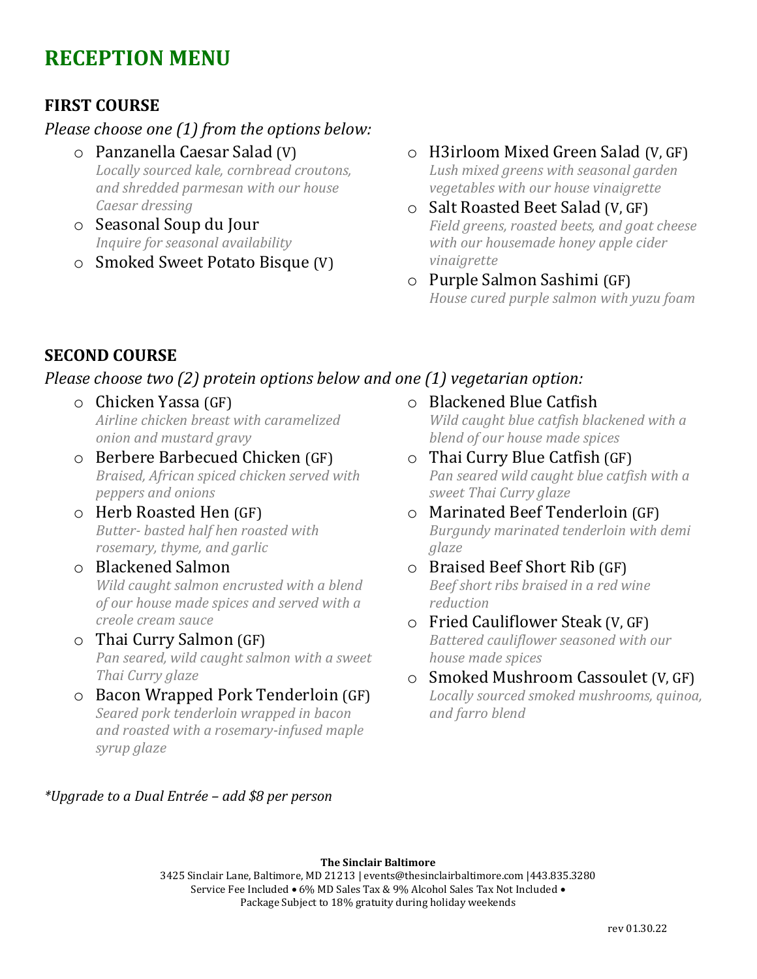# **RECEPTION MENU**

## **FIRST COURSE**

### *Please choose one (1) from the options below:*

- o Panzanella Caesar Salad (V) *Locally sourced kale, cornbread croutons, and shredded parmesan with our house Caesar dressing*
- o Seasonal Soup du Jour *Inquire for seasonal availability*
- o Smoked Sweet Potato Bisque (V)
- o H3irloom Mixed Green Salad (V, GF) *Lush mixed greens with seasonal garden vegetables with our house vinaigrette*
- o Salt Roasted Beet Salad (V, GF) *Field greens, roasted beets, and goat cheese with our housemade honey apple cider vinaigrette*
- o Purple Salmon Sashimi (GF) *House cured purple salmon with yuzu foam*

## **SECOND COURSE**

## *Please choose two (2) protein options below and one (1) vegetarian option:*

- o Chicken Yassa (GF) *Airline chicken breast with caramelized onion and mustard gravy*
- o Berbere Barbecued Chicken (GF) *Braised, African spiced chicken served with peppers and onions*
- o Herb Roasted Hen (GF) *Butter- basted half hen roasted with rosemary, thyme, and garlic*
- o Blackened Salmon *Wild caught salmon encrusted with a blend of our house made spices and served with a creole cream sauce*

### o Thai Curry Salmon (GF)

*Pan seared, wild caught salmon with a sweet Thai Curry glaze*

o Bacon Wrapped Pork Tenderloin (GF) *Seared pork tenderloin wrapped in bacon and roasted with a rosemary-infused maple syrup glaze*

#### *\*Upgrade to a Dual Entrée – add \$8 per person*

o Blackened Blue Catfish *Wild caught blue catfish blackened with a* 

*blend of our house made spices*

- o Thai Curry Blue Catfish (GF) *Pan seared wild caught blue catfish with a sweet Thai Curry glaze*
- o Marinated Beef Tenderloin (GF) *Burgundy marinated tenderloin with demi glaze*
- o Braised Beef Short Rib (GF) *Beef short ribs braised in a red wine reduction*
- o Fried Cauliflower Steak (V, GF) *Battered cauliflower seasoned with our house made spices*
- o Smoked Mushroom Cassoulet (V, GF) *Locally sourced smoked mushrooms, quinoa, and farro blend*

#### **The Sinclair Baltimore**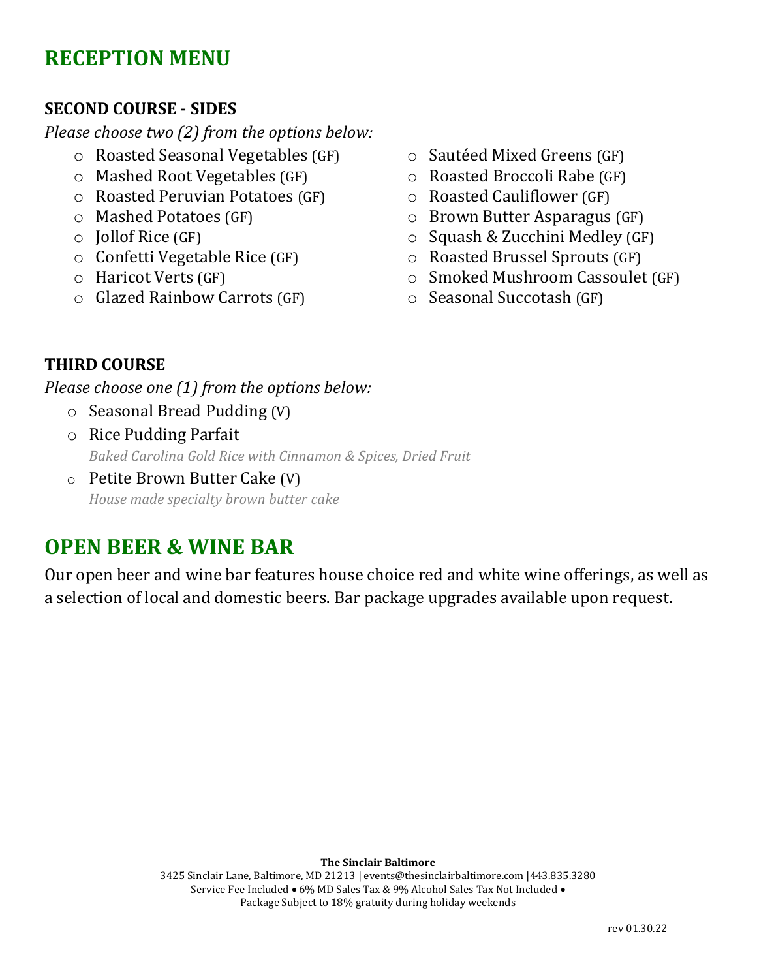# **RECEPTION MENU**

## **SECOND COURSE - SIDES**

*Please choose two (2) from the options below:*

- o Roasted Seasonal Vegetables (GF)
- o Mashed Root Vegetables (GF)
- o Roasted Peruvian Potatoes (GF)
- o Mashed Potatoes (GF)
- o Jollof Rice (GF)
- o Confetti Vegetable Rice (GF)
- o Haricot Verts (GF)
- o Glazed Rainbow Carrots (GF)
- o Sautéed Mixed Greens (GF)
- o Roasted Broccoli Rabe (GF)
- o Roasted Cauliflower (GF)
- o Brown Butter Asparagus (GF)
- o Squash & Zucchini Medley (GF)
- o Roasted Brussel Sprouts (GF)
- o Smoked Mushroom Cassoulet (GF)
- o Seasonal Succotash (GF)

## **THIRD COURSE**

*Please choose one (1) from the options below:*

- o Seasonal Bread Pudding (V)
- o Rice Pudding Parfait *Baked Carolina Gold Rice with Cinnamon & Spices, Dried Fruit*
- o Petite Brown Butter Cake (V) *House made specialty brown butter cake*

# **OPEN BEER & WINE BAR**

Our open beer and wine bar features house choice red and white wine offerings, as well as a selection of local and domestic beers. Bar package upgrades available upon request.

#### **The Sinclair Baltimore**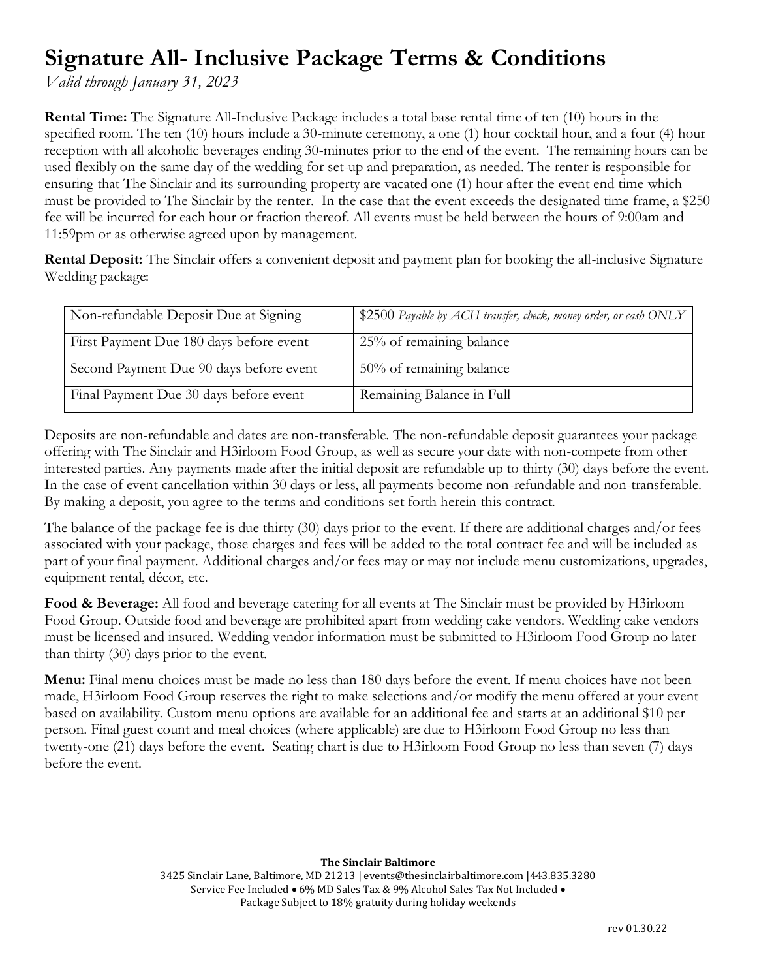# **Signature All- Inclusive Package Terms & Conditions**

*Valid through January 31, 2023*

**Rental Time:** The Signature All-Inclusive Package includes a total base rental time of ten (10) hours in the specified room. The ten (10) hours include a 30-minute ceremony, a one (1) hour cocktail hour, and a four (4) hour reception with all alcoholic beverages ending 30-minutes prior to the end of the event. The remaining hours can be used flexibly on the same day of the wedding for set-up and preparation, as needed. The renter is responsible for ensuring that The Sinclair and its surrounding property are vacated one (1) hour after the event end time which must be provided to The Sinclair by the renter. In the case that the event exceeds the designated time frame, a \$250 fee will be incurred for each hour or fraction thereof. All events must be held between the hours of 9:00am and 11:59pm or as otherwise agreed upon by management.

**Rental Deposit:** The Sinclair offers a convenient deposit and payment plan for booking the all-inclusive Signature Wedding package:

| Non-refundable Deposit Due at Signing   | \$2500 Payable by ACH transfer, check, money order, or cash ONLY |
|-----------------------------------------|------------------------------------------------------------------|
| First Payment Due 180 days before event | 25% of remaining balance                                         |
| Second Payment Due 90 days before event | $50\%$ of remaining balance                                      |
| Final Payment Due 30 days before event  | Remaining Balance in Full                                        |

Deposits are non-refundable and dates are non-transferable. The non-refundable deposit guarantees your package offering with The Sinclair and H3irloom Food Group, as well as secure your date with non-compete from other interested parties. Any payments made after the initial deposit are refundable up to thirty (30) days before the event. In the case of event cancellation within 30 days or less, all payments become non-refundable and non-transferable. By making a deposit, you agree to the terms and conditions set forth herein this contract.

The balance of the package fee is due thirty (30) days prior to the event. If there are additional charges and/or fees associated with your package, those charges and fees will be added to the total contract fee and will be included as part of your final payment. Additional charges and/or fees may or may not include menu customizations, upgrades, equipment rental, décor, etc.

**Food & Beverage:** All food and beverage catering for all events at The Sinclair must be provided by H3irloom Food Group. Outside food and beverage are prohibited apart from wedding cake vendors. Wedding cake vendors must be licensed and insured. Wedding vendor information must be submitted to H3irloom Food Group no later than thirty (30) days prior to the event.

**Menu:** Final menu choices must be made no less than 180 days before the event. If menu choices have not been made, H3irloom Food Group reserves the right to make selections and/or modify the menu offered at your event based on availability. Custom menu options are available for an additional fee and starts at an additional \$10 per person. Final guest count and meal choices (where applicable) are due to H3irloom Food Group no less than twenty-one (21) days before the event. Seating chart is due to H3irloom Food Group no less than seven (7) days before the event.

#### **The Sinclair Baltimore**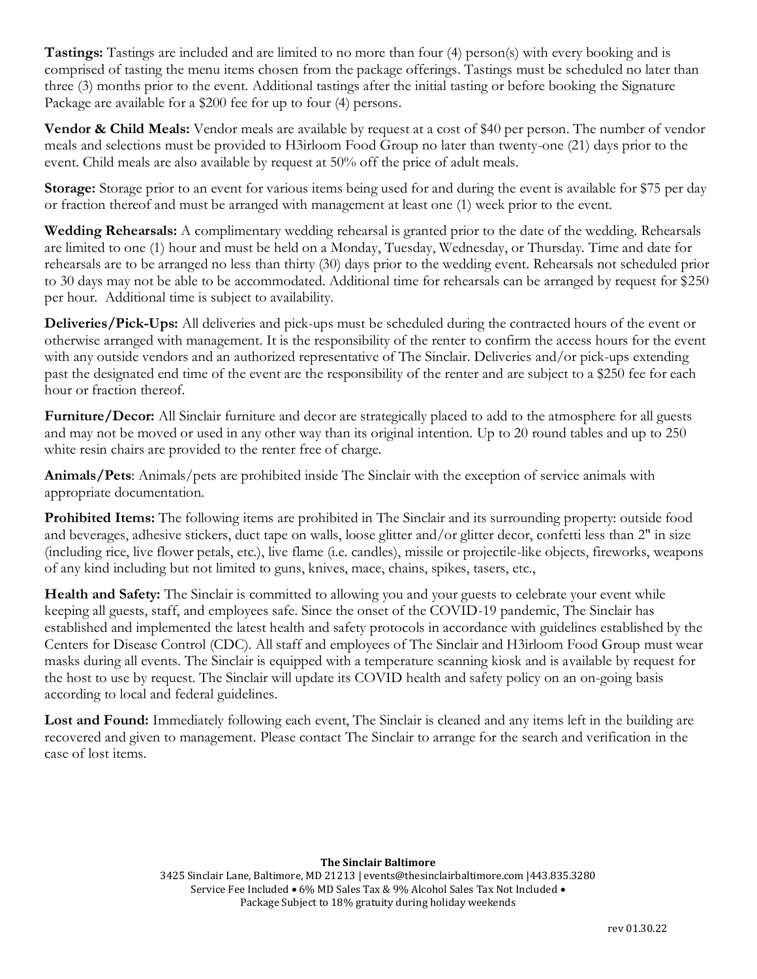**Tastings:** Tastings are included and are limited to no more than four (4) person(s) with every booking and is comprised of tasting the menu items chosen from the package offerings. Tastings must be scheduled no later than three (3) months prior to the event. Additional tastings after the initial tasting or before booking the Signature Package are available for a \$200 fee for up to four (4) persons.

**Vendor & Child Meals:** Vendor meals are available by request at a cost of \$40 per person. The number of vendor meals and selections must be provided to H3irloom Food Group no later than twenty-one (21) days prior to the event. Child meals are also available by request at 50% off the price of adult meals.

**Storage:** Storage prior to an event for various items being used for and during the event is available for \$75 per day or fraction thereof and must be arranged with management at least one (1) week prior to the event.

**Wedding Rehearsals:** A complimentary wedding rehearsal is granted prior to the date of the wedding. Rehearsals are limited to one (1) hour and must be held on a Monday, Tuesday, Wednesday, or Thursday. Time and date for rehearsals are to be arranged no less than thirty (30) days prior to the wedding event. Rehearsals not scheduled prior to 30 days may not be able to be accommodated. Additional time for rehearsals can be arranged by request for \$250 per hour. Additional time is subject to availability.

**Deliveries/Pick-Ups:** All deliveries and pick-ups must be scheduled during the contracted hours of the event or otherwise arranged with management. It is the responsibility of the renter to confirm the access hours for the event with any outside vendors and an authorized representative of The Sinclair. Deliveries and/or pick-ups extending past the designated end time of the event are the responsibility of the renter and are subject to a \$250 fee for each hour or fraction thereof.

**Furniture/Decor:** All Sinclair furniture and decor are strategically placed to add to the atmosphere for all guests and may not be moved or used in any other way than its original intention. Up to 20 round tables and up to 250 white resin chairs are provided to the renter free of charge.

**Animals/Pets**: Animals/pets are prohibited inside The Sinclair with the exception of service animals with appropriate documentation.

**Prohibited Items:** The following items are prohibited in The Sinclair and its surrounding property: outside food and beverages, adhesive stickers, duct tape on walls, loose glitter and/or glitter decor, confetti less than 2" in size (including rice, live flower petals, etc.), live flame (i.e. candles), missile or projectile-like objects, fireworks, weapons of any kind including but not limited to guns, knives, mace, chains, spikes, tasers, etc.,

**Health and Safety:** The Sinclair is committed to allowing you and your guests to celebrate your event while keeping all guests, staff, and employees safe. Since the onset of the COVID-19 pandemic, The Sinclair has established and implemented the latest health and safety protocols in accordance with guidelines established by the Centers for Disease Control (CDC). All staff and employees of The Sinclair and H3irloom Food Group must wear masks during all events. The Sinclair is equipped with a temperature scanning kiosk and is available by request for the host to use by request. The Sinclair will update its COVID health and safety policy on an on-going basis according to local and federal guidelines.

**Lost and Found:** Immediately following each event, The Sinclair is cleaned and any items left in the building are recovered and given to management. Please contact The Sinclair to arrange for the search and verification in the case of lost items.

#### **The Sinclair Baltimore**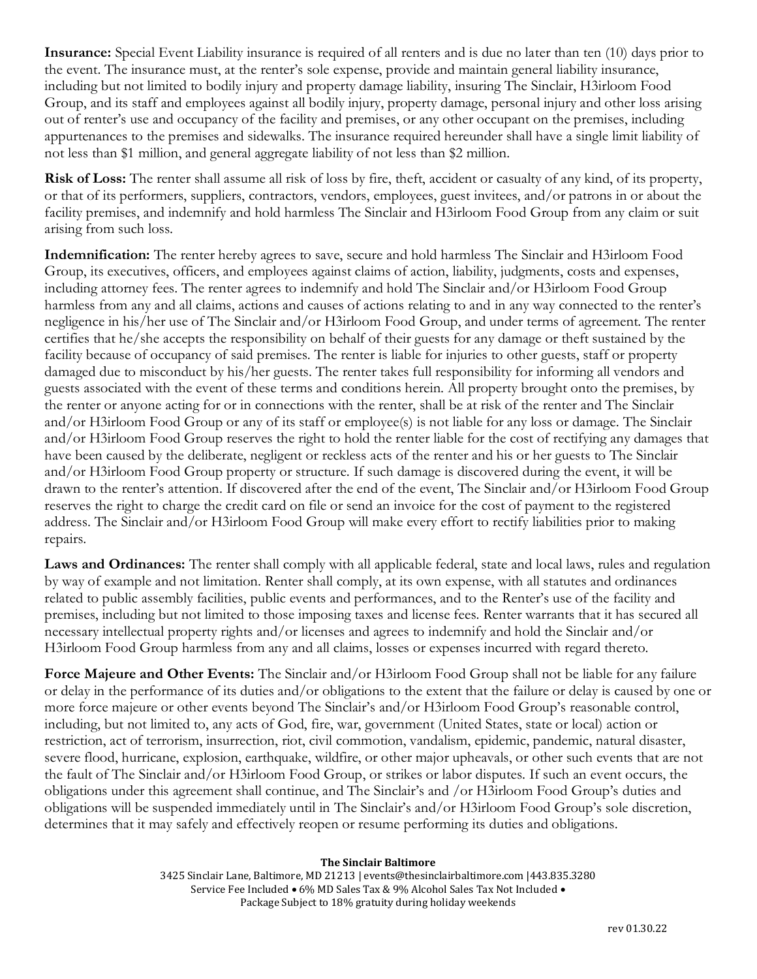**Insurance:** Special Event Liability insurance is required of all renters and is due no later than ten (10) days prior to the event. The insurance must, at the renter's sole expense, provide and maintain general liability insurance, including but not limited to bodily injury and property damage liability, insuring The Sinclair, H3irloom Food Group, and its staff and employees against all bodily injury, property damage, personal injury and other loss arising out of renter's use and occupancy of the facility and premises, or any other occupant on the premises, including appurtenances to the premises and sidewalks. The insurance required hereunder shall have a single limit liability of not less than \$1 million, and general aggregate liability of not less than \$2 million.

**Risk of Loss:** The renter shall assume all risk of loss by fire, theft, accident or casualty of any kind, of its property, or that of its performers, suppliers, contractors, vendors, employees, guest invitees, and/or patrons in or about the facility premises, and indemnify and hold harmless The Sinclair and H3irloom Food Group from any claim or suit arising from such loss.

**Indemnification:** The renter hereby agrees to save, secure and hold harmless The Sinclair and H3irloom Food Group, its executives, officers, and employees against claims of action, liability, judgments, costs and expenses, including attorney fees. The renter agrees to indemnify and hold The Sinclair and/or H3irloom Food Group harmless from any and all claims, actions and causes of actions relating to and in any way connected to the renter's negligence in his/her use of The Sinclair and/or H3irloom Food Group, and under terms of agreement. The renter certifies that he/she accepts the responsibility on behalf of their guests for any damage or theft sustained by the facility because of occupancy of said premises. The renter is liable for injuries to other guests, staff or property damaged due to misconduct by his/her guests. The renter takes full responsibility for informing all vendors and guests associated with the event of these terms and conditions herein. All property brought onto the premises, by the renter or anyone acting for or in connections with the renter, shall be at risk of the renter and The Sinclair and/or H3irloom Food Group or any of its staff or employee(s) is not liable for any loss or damage. The Sinclair and/or H3irloom Food Group reserves the right to hold the renter liable for the cost of rectifying any damages that have been caused by the deliberate, negligent or reckless acts of the renter and his or her guests to The Sinclair and/or H3irloom Food Group property or structure. If such damage is discovered during the event, it will be drawn to the renter's attention. If discovered after the end of the event, The Sinclair and/or H3irloom Food Group reserves the right to charge the credit card on file or send an invoice for the cost of payment to the registered address. The Sinclair and/or H3irloom Food Group will make every effort to rectify liabilities prior to making repairs.

Laws and Ordinances: The renter shall comply with all applicable federal, state and local laws, rules and regulation by way of example and not limitation. Renter shall comply, at its own expense, with all statutes and ordinances related to public assembly facilities, public events and performances, and to the Renter's use of the facility and premises, including but not limited to those imposing taxes and license fees. Renter warrants that it has secured all necessary intellectual property rights and/or licenses and agrees to indemnify and hold the Sinclair and/or H3irloom Food Group harmless from any and all claims, losses or expenses incurred with regard thereto.

**Force Majeure and Other Events:** The Sinclair and/or H3irloom Food Group shall not be liable for any failure or delay in the performance of its duties and/or obligations to the extent that the failure or delay is caused by one or more force majeure or other events beyond The Sinclair's and/or H3irloom Food Group's reasonable control, including, but not limited to, any acts of God, fire, war, government (United States, state or local) action or restriction, act of terrorism, insurrection, riot, civil commotion, vandalism, epidemic, pandemic, natural disaster, severe flood, hurricane, explosion, earthquake, wildfire, or other major upheavals, or other such events that are not the fault of The Sinclair and/or H3irloom Food Group, or strikes or labor disputes. If such an event occurs, the obligations under this agreement shall continue, and The Sinclair's and /or H3irloom Food Group's duties and obligations will be suspended immediately until in The Sinclair's and/or H3irloom Food Group's sole discretion, determines that it may safely and effectively reopen or resume performing its duties and obligations.

#### **The Sinclair Baltimore**